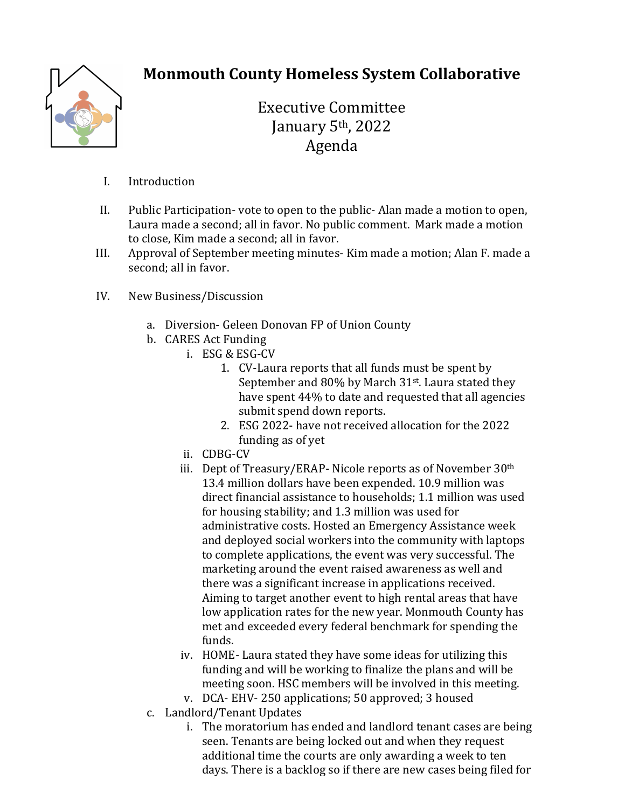

## **Monmouth County Homeless System Collaborative**

Executive Committee January 5<sup>th</sup>, 2022 Agenda

- I. Introduction
- II. Public Participation-vote to open to the public-Alan made a motion to open, Laura made a second; all in favor. No public comment. Mark made a motion to close. Kim made a second: all in favor.
- III. Approval of September meeting minutes- Kim made a motion; Alan F. made a second; all in favor.
- IV. New Business/Discussion
	- a. Diversion- Geleen Donovan FP of Union County
	- b. CARES Act Funding
		- i. ESG & ESG-CV
			- 1. CV-Laura reports that all funds must be spent by September and  $80\%$  by March  $31<sup>st</sup>$ . Laura stated they have spent 44% to date and requested that all agencies submit spend down reports.
			- 2. ESG 2022- have not received allocation for the 2022 funding as of yet
		- ii. CDBG-CV
		- iii. Dept of Treasury/ERAP- Nicole reports as of November 30<sup>th</sup> 13.4 million dollars have been expended. 10.9 million was direct financial assistance to households: 1.1 million was used for housing stability; and 1.3 million was used for administrative costs. Hosted an Emergency Assistance week and deployed social workers into the community with laptops to complete applications, the event was very successful. The marketing around the event raised awareness as well and there was a significant increase in applications received. Aiming to target another event to high rental areas that have low application rates for the new year. Monmouth County has met and exceeded every federal benchmark for spending the funds.
		- iv. HOME-Laura stated they have some ideas for utilizing this funding and will be working to finalize the plans and will be meeting soon. HSC members will be involved in this meeting.
		- v. DCA- EHV-250 applications; 50 approved; 3 housed
	- c. Landlord/Tenant Updates
		- i. The moratorium has ended and landlord tenant cases are being seen. Tenants are being locked out and when they request additional time the courts are only awarding a week to ten days. There is a backlog so if there are new cases being filed for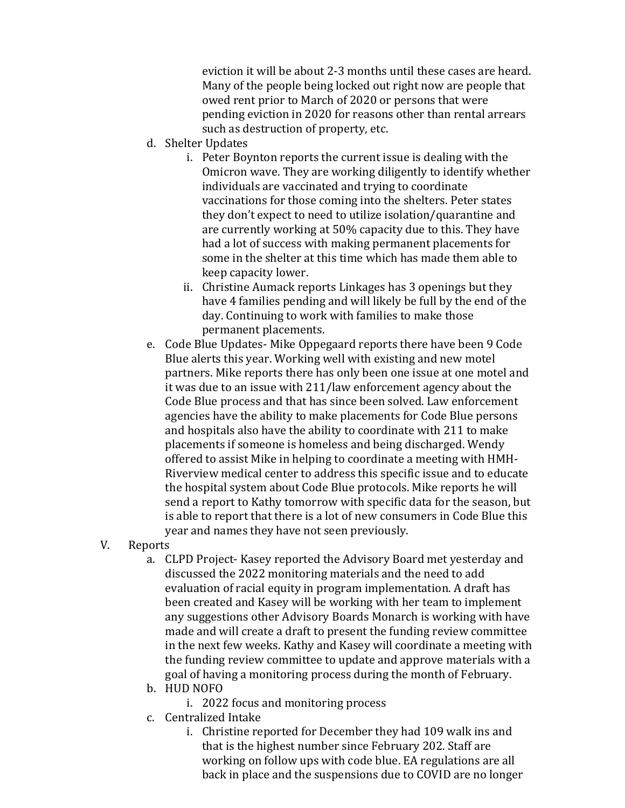eviction it will be about 2-3 months until these cases are heard. Many of the people being locked out right now are people that owed rent prior to March of 2020 or persons that were pending eviction in 2020 for reasons other than rental arrears such as destruction of property, etc.

- d. Shelter Updates
	- i. Peter Boynton reports the current issue is dealing with the Omicron wave. They are working diligently to identify whether individuals are vaccinated and trying to coordinate vaccinations for those coming into the shelters. Peter states they don't expect to need to utilize isolation/quarantine and are currently working at 50% capacity due to this. They have had a lot of success with making permanent placements for some in the shelter at this time which has made them able to keep capacity lower.
	- ii. Christine Aumack reports Linkages has 3 openings but they have 4 families pending and will likely be full by the end of the day. Continuing to work with families to make those permanent placements.
- e. Code Blue Updates- Mike Oppegaard reports there have been 9 Code Blue alerts this year. Working well with existing and new motel partners. Mike reports there has only been one issue at one motel and it was due to an issue with 211/law enforcement agency about the Code Blue process and that has since been solved. Law enforcement agencies have the ability to make placements for Code Blue persons and hospitals also have the ability to coordinate with 211 to make placements if someone is homeless and being discharged. Wendy offered to assist Mike in helping to coordinate a meeting with HMH-Riverview medical center to address this specific issue and to educate the hospital system about Code Blue protocols. Mike reports he will send a report to Kathy tomorrow with specific data for the season, but is able to report that there is a lot of new consumers in Code Blue this year and names they have not seen previously.
- V. Reports
	- a. CLPD Project- Kasey reported the Advisory Board met yesterday and discussed the 2022 monitoring materials and the need to add evaluation of racial equity in program implementation. A draft has been created and Kasey will be working with her team to implement any suggestions other Advisory Boards Monarch is working with have made and will create a draft to present the funding review committee in the next few weeks. Kathy and Kasey will coordinate a meeting with the funding review committee to update and approve materials with a goal of having a monitoring process during the month of February.
	- b. HUD NOFO
		- i. 2022 focus and monitoring process
	- c. Centralized Intake
		- i. Christine reported for December they had 109 walk ins and that is the highest number since February 202. Staff are working on follow ups with code blue. EA regulations are all back in place and the suspensions due to COVID are no longer